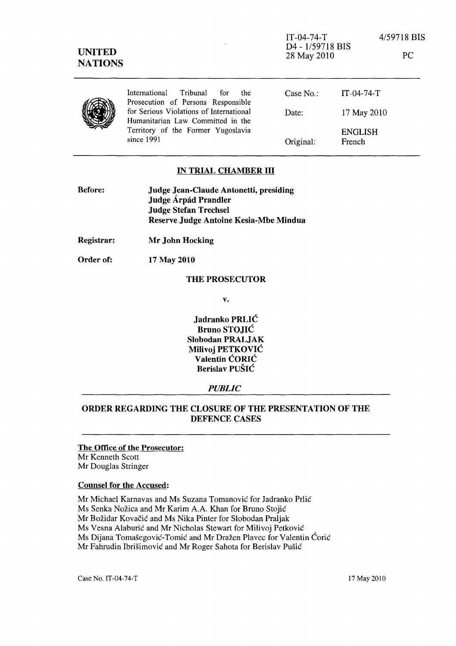PC



International Tribunal for the Case No.: IT-04-74-T Prosecution of Persons Responsible for Serious Violations of International Date: Humanitarian Law Committed in the Territory of the Former Yugoslavia

Original: 17 May 2010 ENGLISH French

## IN TRIAL CHAMBER **III**

| <b>Before:</b> | Judge Jean-Claude Antonetti, presiding |
|----------------|----------------------------------------|
|                | Judge Árpád Prandler                   |
|                | <b>Judge Stefan Trechsel</b>           |
|                | Reserve Judge Antoine Kesia-Mbe Mindua |

Registrar: Mr John Hocking

Order of: 17 May 2010

### THE PROSECUTOR

v.

Jadranko PRLIC Bruno STOJIC Slobodan PRALJAK Milivoj PETKOVIC Valentin CORIC Berislav PUSIC

### *PUBLIC*

# ORDER REGARDING THE CLOSURE OF THE PRESENTATION OF THE DEFENCE CASES

#### The Office of the Prosecutor: Mr Kenneth Scott

Mr Douglas Stringer

# Counsel for the Accused:

Mr Michael Karnavas and Ms Suzana Tomanović for Jadranko Prlić Ms Senka Nožica and Mr Karim A.A. Khan for Bruno Stojić Mr Božidar Kovačić and Ms Nika Pinter for Slobodan Praljak Ms Vesna Alaburić and Mr Nicholas Stewart for Milivoj Petković Ms Dijana Tomašegović-Tomić and Mr Dražen Plavec for Valentin Ćorić Mr Fahrudin Ibrišimović and Mr Roger Sahota for Berislav Pušić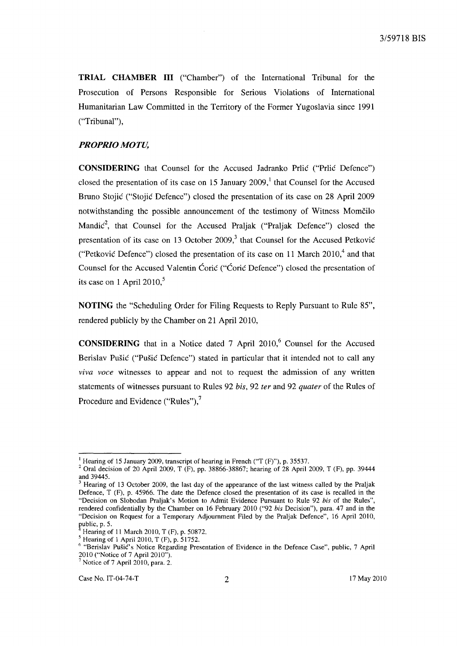**TRIAL CHAMBER III** ("Chamber") of the International Tribunal for the Prosecution of Persons Responsible for Serious Violations of International Humanitarian Law Committed in the Territory of the Former Yugoslavia since 1991 ("Tribunal"),

### *PROPRIO MOTU,*

**CONSIDERING** that Counsel for the Accused Jadranko Prlie ("Prlie Defence") closed the presentation of its case on 15 January  $2009$ , that Counsel for the Accused Bruno Stojić ("Stojić Defence") closed the presentation of its case on 28 April 2009 notwithstanding the possible announcement of the testimony of Witness Momcilo Mandi $c^2$ , that Counsel for the Accused Praljak ("Praljak Defence") closed the presentation of its case on 13 October 2009, $3$  that Counsel for the Accused Petković ("Petković Defence") closed the presentation of its case on 11 March  $2010<sup>4</sup>$  and that Counsel for the Accused Valentin Ćorić ("Ćorić Defence") closed the presentation of its case on 1 April 2010, $5$ 

**NOTING** the "Scheduling Order for Filing Requests to Reply Pursuant to Rule 85", rendered publicly by the Chamber on 21 April 2010,

**CONSIDERING** that in a Notice dated 7 April 2010,<sup>6</sup> Counsel for the Accused Berislav Pušić ("Pušić Defence") stated in particular that it intended not to call any *viva voce* witnesses to appear and not to request the admission of any written statements of witnesses pursuant to Rules 92 *his,* 92 *ter* and 92 *quater* of the Rules of Procedure and Evidence ("Rules"),<sup>7</sup>

<sup>&</sup>lt;sup>1</sup> Hearing of 15 January 2009, transcript of hearing in French ("T (F)"), p. 35537.

<sup>&</sup>lt;sup>2</sup> Oral decision of 20 April 2009, T (F), pp. 38866-38867; hearing of 28 April 2009, T (F), pp. 39444 and 39445.

<sup>3</sup> Hearing of 13 October 2009, the last day of the appearance of the last witness called by the Praljak Defence, T (F), p. 45966. The date the Defence closed the presentation of its case is recalled in the "Decision on Slobodan Praljak's Motion to Admit Evidence Pursuant to Rule 92 *his* of the Rules", rendered confidentially by the Chamber on 16 February 2010 ("92 *his* Decision"), para. 47 and in the "Decision on Request for a Temporary Adjournment Filed by the Praljak Defence", 16 April 2010, public, p. 5.

Hearing of 11 March 2010, T (F), p. 50872.

<sup>5</sup> Hearing of 1 April 2010, T (F), p. 51752.

<sup>6 &</sup>quot;Berislav Pusic's Notice Regarding Presentation of Evidence in the Defence Case", public, 7 April 2010 ("Notice of 7 April 2010").  $7$  Notice of 7 April 2010, para. 2.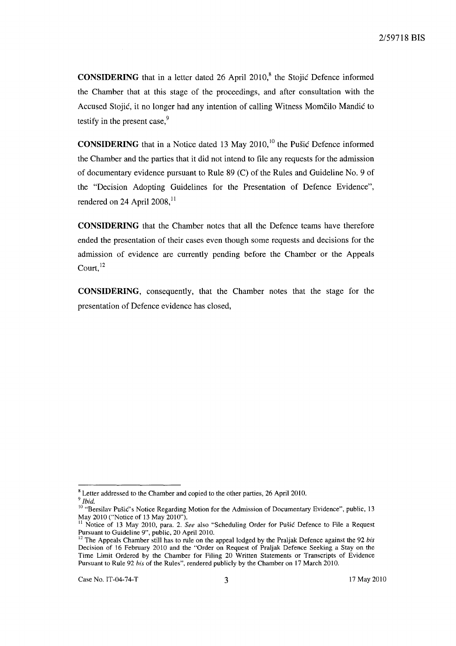**CONSIDERING** that in a letter dated 26 April 2010,<sup>8</sup> the Stojic Defence informed the Chamber that at this stage of the proceedings, and after consultation with the Accused Stojić, it no longer had any intention of calling Witness Momčilo Mandić to testify in the present case, $9$ 

**CONSIDERING** that in a Notice dated 13 May  $2010$ ,<sup>10</sup> the Pušic Defence informed the Chamber and the parties that it did not intend to file any requests for the admission of documentary evidence pursuant to Rule 89 (C) of the Rules and Guideline No. 9 of the "Decision Adopting Guidelines for the Presentation of Defence Evidence", rendered on 24 April 2008, $^{11}$ 

**CONSIDERING** that the Chamber notes that all the Defence teams have therefore ended the presentation of their cases even though some requests and decisions for the admission of evidence are currently pending before the Chamber or the Appeals  $C$ ourt.<sup>12</sup>

**CONSIDERING,** consequently, that the Chamber notes that the stage for the presentation of Defence evidence has closed,

<sup>&</sup>lt;sup>8</sup> Letter addressed to the Chamber and copied to the other parties, 26 April 2010.

<sup>9</sup>*Ibid.* 

<sup>&</sup>lt;sup>10</sup> "Bersilav Pušić's Notice Regarding Motion for the Admission of Documentary Evidence", public, 13 May 2010 ("Notice of 13 May 2010").

<sup>11</sup> Notice of 13 May 2010, para. 2. *See* also "Scheduling Order for Pusic Defence to File a Request Pursuant to Guideline 9", public, 20 April 2010.

<sup>&</sup>lt;sup>12</sup> The Appeals Chamber still has to rule on the appeal lodged by the Praljak Defence against the 92 *bis* Decision of 16 February 2010 and the "Order on Request of Praljak Defence Seeking a Stay on the Time Limit Ordered by the Chamber for Filing 20 Written Statements or Transcripts of Evidence Pursuant to Rule 92 *his* of the Rules", rendered publicly by the Chamber on 17 March 2010.